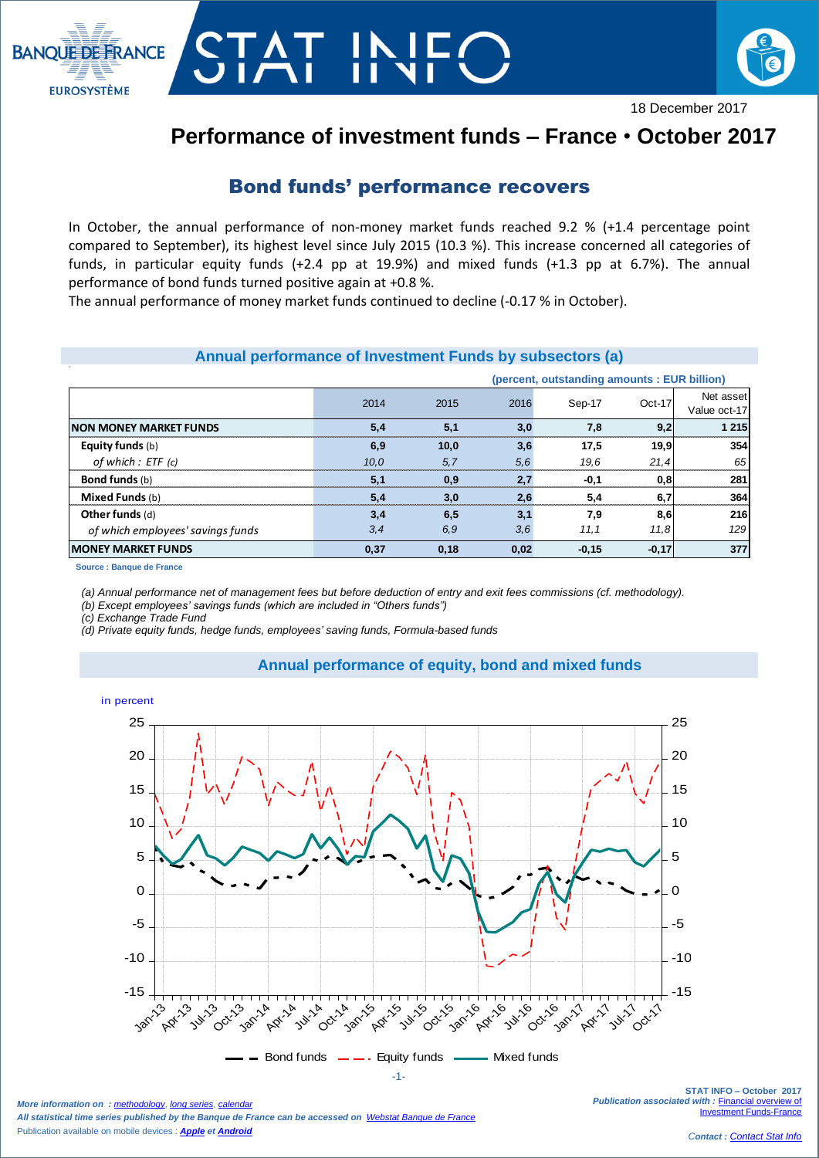



# **Performance of investment funds – France** • **October 2017**

## Bond funds' performance recovers

In October, the annual performance of non-money market funds reached 9.2 % (+1.4 percentage point compared to September), its highest level since July 2015 (10.3 %). This increase concerned all categories of funds, in particular equity funds (+2.4 pp at 19.9%) and mixed funds (+1.3 pp at 6.7%). The annual performance of bond funds turned positive again at +0.8 %.

The annual performance of money market funds continued to decline (-0.17 % in October).

AT IN

### **Annual performance of Investment Funds by subsectors (a)**

|                                   | (percent, outstanding amounts: EUR billion) |      |      |         |          |                           |
|-----------------------------------|---------------------------------------------|------|------|---------|----------|---------------------------|
|                                   | 2014                                        | 2015 | 2016 | Sep-17  | $Oct-17$ | Net asset<br>Value oct-17 |
| <b>NON MONEY MARKET FUNDS</b>     | 5,4                                         | 5,1  | 3,0  | 7,8     | 9,2      | 1 2 1 5                   |
| <b>Equity funds</b> (b)           | 6,9                                         | 10,0 | 3.6  | 17,5    | 19,9     | 354                       |
| of which : ETF (c)                | 10.0                                        | 5.7  | 5,6  | 19.6    | 21,4     | 65                        |
| <b>Bond funds</b> (b)             | 5.1                                         | 0,9  | 2.7  | $-0,1$  | 0,8      | 281                       |
| Mixed Funds (b)                   | 5,4                                         | 3,0  | 2.6  | 5.4     | 6.7      | 364                       |
| Other funds (d)                   | 3,4                                         | 6,5  | 3.1  | 7.9     | 8,6      | 216                       |
| of which employees' savings funds | 3, 4                                        | 6.9  | 3,6  | 11, 1   | 11.8     | 129                       |
| <b>MONEY MARKET FUNDS</b>         | 0,37                                        | 0,18 | 0,02 | $-0,15$ | $-0,17$  | 377                       |

**Source : Banque de France**

*(a) Annual performance net of management fees but before deduction of entry and exit fees commissions (cf. methodology).*

*(b) Except employees' savings funds (which are included in "Others funds")*

*(c) Exchange Trade Fund* 

*(d) Private equity funds, hedge funds, employees' saving funds, Formula-based funds*



**Annual performance of equity, bond and mixed funds**

*More information on : [methodology](https://www.banque-france.fr/en/node/21464), [long series](http://webstat.banque-france.fr/en/browse.do?node=5384218), c All statistical time series published by the Banque de France can be accessed on [Webstat Banque de France](http://webstat.banque-france.fr/en/)* Publication available on mobile devices : *[Apple](https://itunes.apple.com/fr/app/banquefrance/id663817914?mt=8) e[t Android](https://play.google.com/store/apps/details?id=fr.bdf.mobile&feature=search_result#?t=W251bGwsMSwyLDEsImZyLmJkZi5tb2JpbGUiXQ)*

**STAT INFO – October 2017 Publication associated with : Financial overview of** [Investment Funds-France](https://www.banque-france.fr/en/node/4206)